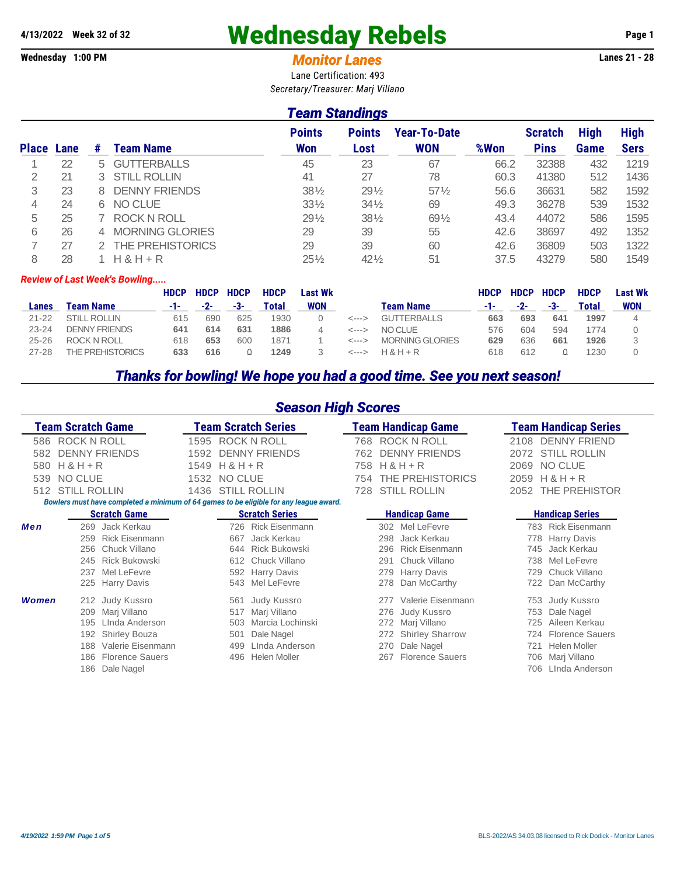# **4/13/2022 Week 32 of 32** Wednesday Rebels **Page 1**

#### **Wednesday 1:00 PM** *Monitor Lanes* **Lanes 21 - 28**

Lane Certification: 493 *Secretary/Treasurer: Marj Villano*

### *Team Standings*

|              |      |    |                        | <b>Points</b>   | <b>Points</b>   | <b>Year-To-Date</b> |      | <b>Scratch</b> | <b>High</b> | <b>High</b> |
|--------------|------|----|------------------------|-----------------|-----------------|---------------------|------|----------------|-------------|-------------|
| <b>Place</b> | Lane | #  | <b>Team Name</b>       | <b>Won</b>      | Lost            | <b>WON</b>          | %Won | <b>Pins</b>    | Game        | <b>Sers</b> |
|              | 22   | 5. | <b>GUTTERBALLS</b>     | 45              | 23              | 67                  | 66.2 | 32388          | 432         | 1219        |
|              | 21   | 3. | <b>STILL ROLLIN</b>    | 41              | 27              | 78                  | 60.3 | 41380          | 512         | 1436        |
| 3            | 23   |    | <b>DENNY FRIENDS</b>   | $38\%$          | $29\frac{1}{2}$ | $57\%$              | 56.6 | 36631          | 582         | 1592        |
| 4            | 24   | 6. | NO CLUE                | $33\frac{1}{2}$ | $34\frac{1}{2}$ | 69                  | 49.3 | 36278          | 539         | 1532        |
| 5            | 25   |    | <b>ROCK N ROLL</b>     | $29\frac{1}{2}$ | $38\%$          | 691/2               | 43.4 | 44072          | 586         | 1595        |
| 6            | 26   |    | <b>MORNING GLORIES</b> | 29              | 39              | 55                  | 42.6 | 38697          | 492         | 1352        |
|              | 27   |    | THE PREHISTORICS       | 29              | 39              | 60                  | 42.6 | 36809          | 503         | 1322        |
| 8            | 28   |    | $H$ & $H$ + R          | $25\%$          | $42\frac{1}{2}$ | 51                  | 37.5 | 43279          | 580         | 1549        |

#### *Review of Last Week's Bowling.....*

|           |                      | <b>HDCP</b> | <b>HDCP</b> | <b>HDCP</b> | <b>HDCP</b> | Last Wk    |                    |                        | <b>HDCP</b> | <b>HDCP</b> | <b>HDCP</b> | <b>HDCP</b> | Last Wk |
|-----------|----------------------|-------------|-------------|-------------|-------------|------------|--------------------|------------------------|-------------|-------------|-------------|-------------|---------|
| Lanes     | Team Name            | -1-         | $-2-$       | -3-         | Total       | <b>WON</b> |                    | Team Name              | - 1 -       | $-2-$       | -3-         | Total       | WON     |
| $21 - 22$ | <b>STILL ROLLIN</b>  | 615         | 690         | 625         | 1930        |            | <--->              | <b>GUTTERBALLS</b>     | 663         | 693         | 641         | 1997        |         |
| $23 - 24$ | <b>DENNY FRIENDS</b> | 641         | 614         | 631         | 1886        |            | <--->              | NO CI UE               | 576         | 604         | 594         | 1774        |         |
| $25 - 26$ | <b>ROCK N ROLL</b>   | 618         | 653         | 60C         | 1871        |            |                    | <b>MORNING GLORIES</b> | 629         | 636         | 661         | 1926        |         |
| $27 - 28$ | THE PREHISTORICS     | 633         | 616         |             | 1249        |            | <b>&lt;---&gt;</b> | $H$ & $H$ + R          | 618         | 612         |             | 1230        |         |

## *Thanks for bowling! We hope you had a good time. See you next season!*

| <b>Season High Scores</b>                                                                  |                              |  |  |  |  |  |  |  |  |  |  |  |
|--------------------------------------------------------------------------------------------|------------------------------|--|--|--|--|--|--|--|--|--|--|--|
| Team Scratch Game<br><b>Feam Scratch Series</b><br><b>Team Handicap Game</b>               | <b>Team Handicap Series</b>  |  |  |  |  |  |  |  |  |  |  |  |
| ROCK N ROLL<br><b>ROCK N ROLL</b><br><b>ROCK N ROLL</b><br>586<br>1595<br>768              | <b>DENNY FRIEND</b><br>2108  |  |  |  |  |  |  |  |  |  |  |  |
| <b>DENNY FRIENDS</b><br><b>DENNY FRIENDS</b><br><b>DENNY FRIENDS</b><br>1592<br>762<br>582 | <b>STILL ROLLIN</b><br>2072  |  |  |  |  |  |  |  |  |  |  |  |
| $H & H + R$<br>$H & H + R$<br>$H & H + R$<br>1549<br>758<br>580                            | <b>NO CLUE</b><br>2069       |  |  |  |  |  |  |  |  |  |  |  |
| THE PREHISTORICS<br>NO CLUE<br>NO CLUE<br>539<br>1532<br>754                               | $H & H + R$<br>2059          |  |  |  |  |  |  |  |  |  |  |  |
| <b>STILL ROLLIN</b><br><b>STILL ROLLIN</b><br>1436<br><b>STILL ROLLIN</b><br>728<br>512    | THE PREHISTOR<br>2052        |  |  |  |  |  |  |  |  |  |  |  |
| Bowlers must have completed a minimum of 64 games to be eligible for any league award.     |                              |  |  |  |  |  |  |  |  |  |  |  |
| <b>Scratch Game</b><br><b>Scratch Series</b><br><b>Handicap Game</b>                       | <b>Handicap Series</b>       |  |  |  |  |  |  |  |  |  |  |  |
| Men<br>Rick Eisenmann<br>Jack Kerkau<br>Mel LeFevre<br>269<br>726<br>302                   | <b>Rick Eisenmann</b><br>783 |  |  |  |  |  |  |  |  |  |  |  |
| <b>Rick Eisenmann</b><br>Jack Kerkau<br>Jack Kerkau<br>259<br>298<br>667                   | <b>Harry Davis</b><br>778    |  |  |  |  |  |  |  |  |  |  |  |
| <b>Rick Bukowski</b><br><b>Rick Eisenmann</b><br>256<br>Chuck Villano<br>296<br>644        | Jack Kerkau<br>745           |  |  |  |  |  |  |  |  |  |  |  |
| Chuck Villano<br>Chuck Villano<br><b>Rick Bukowski</b><br>245<br>612<br>291                | Mel LeFevre<br>738           |  |  |  |  |  |  |  |  |  |  |  |
| Mel LeFevre<br>237<br><b>Harry Davis</b><br><b>Harry Davis</b><br>592<br>279               | Chuck Villano<br>729         |  |  |  |  |  |  |  |  |  |  |  |
| Mel LeFevre<br>Dan McCarthy<br>225<br><b>Harry Davis</b><br>543<br>278                     | Dan McCarthy<br>722          |  |  |  |  |  |  |  |  |  |  |  |
| <b>Women</b><br>Valerie Eisenmann<br>Judy Kussro<br>Judy Kussro<br>561<br>212<br>277       | Judy Kussro<br>753           |  |  |  |  |  |  |  |  |  |  |  |
| Marj Villano<br><b>Judy Kussro</b><br>209<br>Mari Villano<br>517<br>276                    | Dale Nagel<br>753            |  |  |  |  |  |  |  |  |  |  |  |
| Marcia Lochinski<br>Linda Anderson<br>Marj Villano<br>195<br>503<br>272                    | Aileen Kerkau                |  |  |  |  |  |  |  |  |  |  |  |
| <b>Shirley Sharrow</b><br><b>Shirley Bouza</b><br>192<br>501<br>Dale Nagel<br>272          | <b>Florence Sauers</b>       |  |  |  |  |  |  |  |  |  |  |  |
| Valerie Eisenmann<br>Linda Anderson<br>Dale Nagel<br>188<br>499<br>270                     | <b>Helen Moller</b><br>721   |  |  |  |  |  |  |  |  |  |  |  |
| <b>Florence Sauers</b><br><b>Florence Sauers</b><br>Helen Moller<br>186<br>496<br>267      | Marj Villano<br>706          |  |  |  |  |  |  |  |  |  |  |  |
| Dale Nagel<br>186                                                                          | Linda Anderson               |  |  |  |  |  |  |  |  |  |  |  |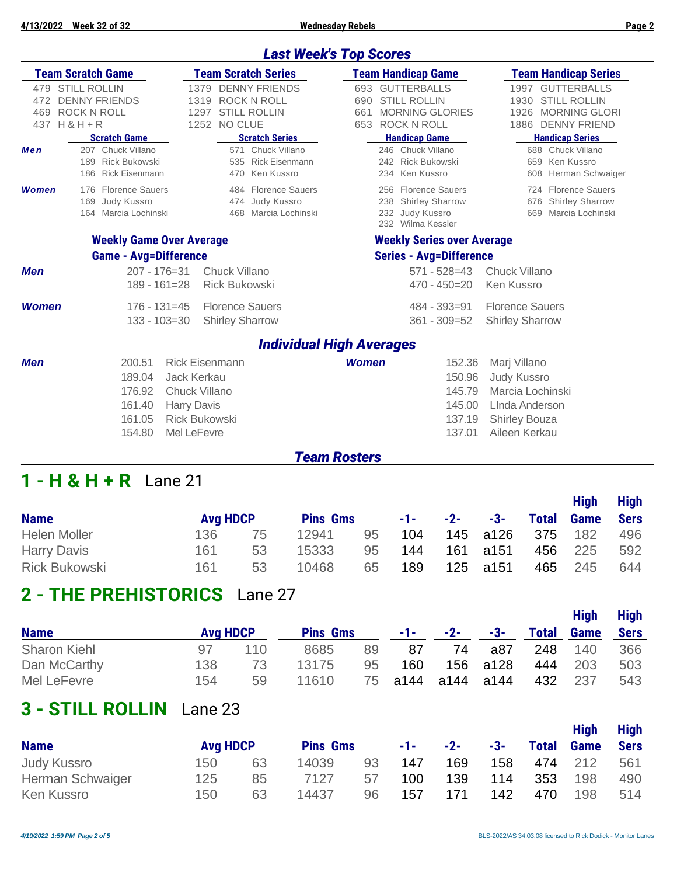## *Last Week's Top Scores*

|                          | <b>Team Scratch Game</b>                                                         |                                                                                                                    | <b>Team Scratch Series</b>                                        |                   | <b>Team Handicap Game</b>                                                         | <b>Team Handicap Series</b>                                                                                              |
|--------------------------|----------------------------------------------------------------------------------|--------------------------------------------------------------------------------------------------------------------|-------------------------------------------------------------------|-------------------|-----------------------------------------------------------------------------------|--------------------------------------------------------------------------------------------------------------------------|
| 479<br>472<br>469<br>437 | <b>STILL ROLLIN</b><br><b>DENNY FRIENDS</b><br><b>ROCK N ROLL</b><br>$H & H + R$ | 1379<br>1319<br>1297<br>1252 NO CLUE                                                                               | <b>DENNY FRIENDS</b><br><b>ROCK N ROLL</b><br><b>STILL ROLLIN</b> | 690<br>661<br>653 | 693 GUTTERBALLS<br><b>STILL ROLLIN</b><br><b>MORNING GLORIES</b><br>ROCK N ROLL   | <b>GUTTERBALLS</b><br>1997<br><b>STILL ROLLIN</b><br>1930<br><b>MORNING GLORI</b><br>1926<br><b>DENNY FRIEND</b><br>1886 |
| Men                      | <b>Scratch Game</b><br>207 Chuck Villano                                         |                                                                                                                    | <b>Scratch Series</b><br>571 Chuck Villano                        |                   | <b>Handicap Game</b><br>246 Chuck Villano                                         | <b>Handicap Series</b><br>688 Chuck Villano                                                                              |
|                          | <b>Rick Bukowski</b><br>189<br><b>Rick Eisenmann</b><br>186                      | 535<br>470                                                                                                         | Rick Eisenmann<br>Ken Kussro                                      |                   | 242 Rick Bukowski<br>234 Ken Kussro                                               | 659 Ken Kussro<br>Herman Schwaiger<br>608                                                                                |
| Women                    | 176 Florence Sauers<br>169 Judy Kussro<br>164 Marcia Lochinski                   |                                                                                                                    | 484 Florence Sauers<br>474 Judy Kussro<br>468 Marcia Lochinski    | 238<br>232        | 256 Florence Sauers<br><b>Shirley Sharrow</b><br>Judy Kussro<br>232 Wilma Kessler | 724 Florence Sauers<br>676 Shirley Sharrow<br>Marcia Lochinski<br>669                                                    |
|                          |                                                                                  | <b>Weekly Game Over Average</b>                                                                                    |                                                                   |                   | <b>Weekly Series over Average</b>                                                 |                                                                                                                          |
|                          | <b>Game - Avg=Difference</b>                                                     |                                                                                                                    |                                                                   |                   | <b>Series - Avg=Difference</b>                                                    |                                                                                                                          |
| <b>Men</b>               |                                                                                  | $207 - 176 = 31$<br><b>Chuck Villano</b><br>$189 - 161 = 28$                                                       | <b>Rick Bukowski</b>                                              |                   | $571 - 528 = 43$<br>$470 - 450 = 20$                                              | <b>Chuck Villano</b><br>Ken Kussro                                                                                       |
| <b>Women</b>             |                                                                                  | $176 - 131 = 45$<br>$133 - 103 = 30$                                                                               | <b>Florence Sauers</b><br><b>Shirley Sharrow</b>                  |                   | $484 - 393 = 91$<br>$361 - 309 = 52$                                              | <b>Florence Sauers</b><br><b>Shirley Sharrow</b>                                                                         |
|                          |                                                                                  |                                                                                                                    | <b>Individual High Averages</b>                                   |                   |                                                                                   |                                                                                                                          |
| Men                      | 200.51<br>189.04<br>176.92<br>161.40<br>161.05<br>154.80                         | <b>Rick Eisenmann</b><br>Jack Kerkau<br>Chuck Villano<br><b>Harry Davis</b><br><b>Rick Bukowski</b><br>Mel LeFevre |                                                                   | <b>Women</b>      | 152.36<br>150.96<br>145.79<br>145.00<br>137.19<br>137.01                          | Marj Villano<br><b>Judy Kussro</b><br>Marcia Lochinski<br>LInda Anderson<br><b>Shirley Bouza</b><br>Aileen Kerkau        |

#### *Team Rosters*

## **1 - H & H + R** Lane 21

|                      |                 |    |                 |    |            |       | <b>High</b> | <b>High</b>  |             |             |
|----------------------|-----------------|----|-----------------|----|------------|-------|-------------|--------------|-------------|-------------|
| <b>Name</b>          | <b>Avg HDCP</b> |    | <b>Pins Gms</b> |    | $-1$ – $-$ | $-2-$ | -3-         | <b>Total</b> | <b>Game</b> | <b>Sers</b> |
| <b>Helen Moller</b>  | 136             | 75 | 12941           | 95 | 104        |       | 145 a126    | 375          | 182         | 496         |
| <b>Harry Davis</b>   | 161             | 53 | 15333           | 95 | 144        | 161   | a151        | 456          | 225         | 592         |
| <b>Rick Bukowski</b> | 161             | 53 | 10468           | 65 | 189        |       | 125 a151    | 465          | 245         | 644         |

## **2 - THE PREHISTORICS** Lane 27

|                     |                 |     |                 |    |                   |    |               |              | <b>High</b> | <b>High</b> |
|---------------------|-----------------|-----|-----------------|----|-------------------|----|---------------|--------------|-------------|-------------|
| <b>Name</b>         | <b>Avg HDCP</b> |     | <b>Pins Gms</b> |    | -1- -             |    | $-2$ - $-3$ - | <b>Total</b> | <b>Game</b> | <b>Sers</b> |
| <b>Sharon Kiehl</b> | 97              | 110 | 8685            | 89 | 87                | 74 | a87           | 248          | 140         | 366         |
| Dan McCarthy        | 138             | 73  | 13175           | 95 | 160               |    | 156 a128      | 444          | 203         | 503         |
| Mel LeFevre         | 154             | 59  | 11610           |    | 75 a144 a144 a144 |    |               | 432          | -237        | 543         |

## **3 - STILL ROLLIN** Lane 23

|                    |     |                 |       |                 |     |       |       |              | <b>High</b> | <b>High</b> |
|--------------------|-----|-----------------|-------|-----------------|-----|-------|-------|--------------|-------------|-------------|
| <b>Name</b>        |     | <b>Avg HDCP</b> |       | <b>Pins Gms</b> |     | $-2-$ | $-3-$ | <b>Total</b> | <b>Game</b> | <b>Sers</b> |
| <b>Judy Kussro</b> | 150 | 63              | 14039 | 93              | 147 | 169   | 158   | 474          | 212         | 561         |
| Herman Schwaiger   | 125 | 85              | 7127  | 57              | 100 | 139   | 114   | 353          | 198         | 490         |
| <b>Ken Kussro</b>  | 150 | 63              | 14437 | 96              | 157 | 171   | 142   | 470          | 198         | 514         |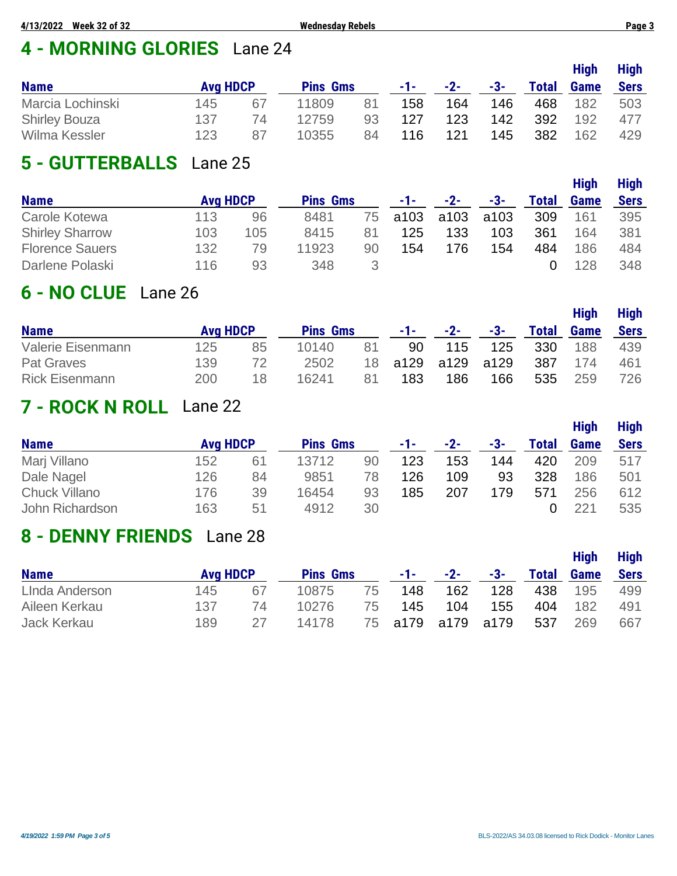# **4 - MORNING GLORIES** Lane 24

|                      |                 |    |                 |    |       |       |       |              | <b>High</b> | <b>High</b> |
|----------------------|-----------------|----|-----------------|----|-------|-------|-------|--------------|-------------|-------------|
| <b>Name</b>          | <b>Avg HDCP</b> |    | <b>Pins Gms</b> |    | $-1-$ | $-2-$ | $-3-$ | <b>Total</b> | <b>Game</b> | <b>Sers</b> |
| Marcia Lochinski     | 145             | 67 | 11809           | 81 | 158   | 164   | 146   | 468          | 182         | 503         |
| <b>Shirley Bouza</b> | 137             | 74 | 12759           | 93 | 127   | 123   | 142   | 392          | 192         | 477         |
| Wilma Kessler        | 123             | 87 | 10355           | 84 | 116   | 121   | 145   | 382          | 162         | 429         |

# **5 - GUTTERBALLS** Lane 25

|                        |                 |     |                 |    |      |       |      |              | <b>High</b> | <b>High</b> |
|------------------------|-----------------|-----|-----------------|----|------|-------|------|--------------|-------------|-------------|
| <b>Name</b>            | <b>Avg HDCP</b> |     | <b>Pins Gms</b> |    | -1-1 | $-2-$ | -3-  | <b>Total</b> | <b>Game</b> | <b>Sers</b> |
| Carole Kotewa          | 113             | 96  | 8481            | 75 | a103 | a103  | a103 | 309          | 161         | 395         |
| <b>Shirley Sharrow</b> | 103             | 105 | 8415            | 81 | 125  | 133   | 103  | 361          | 164         | 381         |
| <b>Florence Sauers</b> | 132             | 79  | 11923           | 90 | 154  | 176   | 154  | 484          | 186         | 484         |
| Darlene Polaski        | 116             | 93  | 348             |    |      |       |      |              | 128         | 348         |

## **6 - NO CLUE** Lane 26

|                       |                 |    |                 |    |       |       |       |              | <b>High</b> | <b>High</b> |
|-----------------------|-----------------|----|-----------------|----|-------|-------|-------|--------------|-------------|-------------|
| <b>Name</b>           | <b>Avg HDCP</b> |    | <b>Pins Gms</b> |    | -1- - | $-2-$ | $-3-$ | <b>Total</b> | <b>Game</b> | <b>Sers</b> |
| Valerie Eisenmann     | 125             | 85 | 10140           | 81 | 90    | 115   | 125   | 330          | 188         | 439         |
| <b>Pat Graves</b>     | 139             | 72 | 2502            | 18 | a129  | a129  | a129  | 387          | 174         | 461         |
| <b>Rick Eisenmann</b> | 200             | 18 | 16241           | 81 | 183   | 186   | 166   | 535          | 259         | 726         |

## **7 - ROCK N ROLL** Lane 22

|                      |                 |    |                 |    |     |       |     |       | <b>High</b> | <b>High</b> |
|----------------------|-----------------|----|-----------------|----|-----|-------|-----|-------|-------------|-------------|
| <b>Name</b>          | <b>Avg HDCP</b> |    | <b>Pins Gms</b> |    | -1- | $-2-$ | -3- | Total | <b>Game</b> | <b>Sers</b> |
| Marj Villano         | 152             | 61 | 13712           | 90 | 123 | 153   | 144 | 420   | 209         | 517         |
| Dale Nagel           | 126             | 84 | 9851            | 78 | 126 | 109   | 93  | 328   | 186         | 501         |
| <b>Chuck Villano</b> | 176             | 39 | 16454           | 93 | 185 | 207   | 179 | 571   | 256         | 612         |
| John Richardson      | 163             | 51 | 4912            | 30 |     |       |     |       | 221         | 535         |

## **8 - DENNY FRIENDS** Lane 28

|                |                 |    |                 |     |       |           |      | <b>High</b>  |             |             |  |  |
|----------------|-----------------|----|-----------------|-----|-------|-----------|------|--------------|-------------|-------------|--|--|
| <b>Name</b>    | <b>Avg HDCP</b> |    | <b>Pins Gms</b> |     | $-1-$ | $-2-$     | -3-  | <b>Total</b> | <b>Game</b> | <b>Sers</b> |  |  |
| LInda Anderson | 145             | 67 | 10875           | 75  | 148   | 162       | 128  | 438          | 195         | 499         |  |  |
| Aileen Kerkau  | 137             | 74 | 10276           | 75  | 145   | 104       | 155  | 404          | 182         | 491         |  |  |
| Jack Kerkau    | 189             | 27 | 14178           | 75. |       | a179 a179 | a179 | 537          | 269         | 667         |  |  |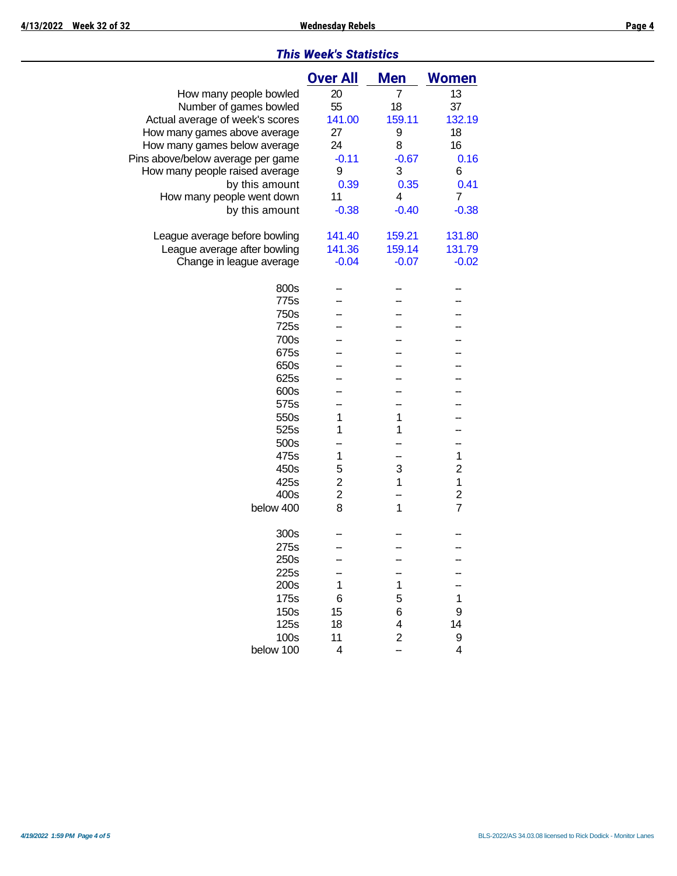|                                   | <b>Over All</b>         | Men            | <b>Women</b>   |
|-----------------------------------|-------------------------|----------------|----------------|
| How many people bowled            | 20                      | 7              | 13             |
| Number of games bowled            | 55                      | 18             | 37             |
| Actual average of week's scores   | 141.00                  | 159.11         | 132.19         |
| How many games above average      | 27                      | 9              | 18             |
| How many games below average      | 24                      | 8              | 16             |
| Pins above/below average per game | $-0.11$                 | $-0.67$        | 0.16           |
| How many people raised average    | 9                       | 3              | 6              |
| by this amount                    | 0.39                    | 0.35           | 0.41           |
| How many people went down         | 11                      | 4              | 7              |
| by this amount                    | $-0.38$                 | $-0.40$        | $-0.38$        |
|                                   |                         |                |                |
| League average before bowling     | 141.40                  | 159.21         | 131.80         |
| League average after bowling      | 141.36                  | 159.14         | 131.79         |
| Change in league average          | $-0.04$                 | $-0.07$        | $-0.02$        |
|                                   |                         |                |                |
| 800s                              |                         |                |                |
| 775s                              |                         |                |                |
| 750s                              |                         |                |                |
| 725s                              |                         |                |                |
| 700s                              |                         |                |                |
| 675s                              |                         |                |                |
| 650s                              |                         |                |                |
| 625s                              |                         |                |                |
| 600s                              |                         |                |                |
| 575s                              |                         |                |                |
| 550s                              | 1                       | 1              |                |
| 525s                              | 1                       | 1              |                |
| 500s                              |                         |                |                |
| 475s                              | 1                       |                | $\mathbf{1}$   |
| 450s                              | 5                       | 3              | $\overline{2}$ |
| 425s                              | $\overline{\mathbf{c}}$ | 1              | $\mathbf{1}$   |
| 400s                              | $\overline{2}$          |                | $\overline{c}$ |
| below 400                         | 8                       | 1              | $\overline{7}$ |
| 300s                              |                         |                |                |
| 275s                              |                         |                |                |
| 250s                              |                         |                |                |
| 225s                              |                         |                |                |
| 200s                              | 1                       | 1              |                |
| 175s                              | 6                       | 5              | 1              |
| 150s                              | 15                      | 6              | 9              |
| 125s                              | 18                      | 4              | 14             |
| 100s                              | 11                      | $\overline{c}$ | 9              |
| below 100                         | 4                       |                | 4              |
|                                   |                         |                |                |